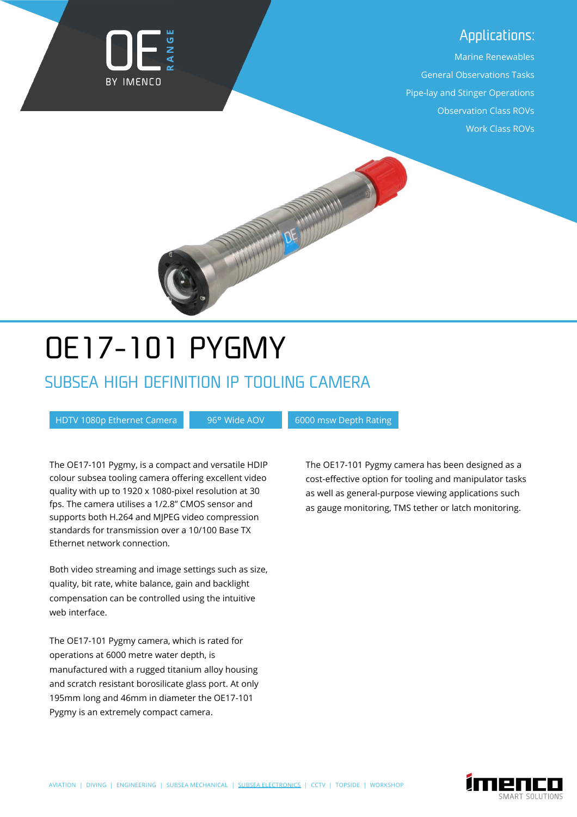#### Applications:

Marine Renewables General Observations Tasks Pipe-lay and Stinger Operations Observation Class ROVs Work Class ROVs



# **OE17-101 PYGMY**

### SUBSEA HIGH DEFINITION IP TOOLING CAMERA

HDTV 1080p Ethernet Camera 196° Wide AOV 16000 msw Depth Rating

The OE17-101 Pygmy, is a compact and versatile HDIP colour subsea tooling camera offering excellent video quality with up to 1920 x 1080-pixel resolution at 30 fps. The camera utilises a 1/2.8" CMOS sensor and supports both H.264 and MJPEG video compression standards for transmission over a 10/100 Base TX Ethernet network connection.

Both video streaming and image settings such as size, quality, bit rate, white balance, gain and backlight compensation can be controlled using the intuitive web interface.

The OE17-101 Pygmy camera, which is rated for operations at 6000 metre water depth, is manufactured with a rugged titanium alloy housing and scratch resistant borosilicate glass port. At only 195mm long and 46mm in diameter the OE17-101 Pygmy is an extremely compact camera.

The OE17-101 Pygmy camera has been designed as a cost-effective option for tooling and manipulator tasks as well as general-purpose viewing applications such as gauge monitoring, TMS tether or latch monitoring.